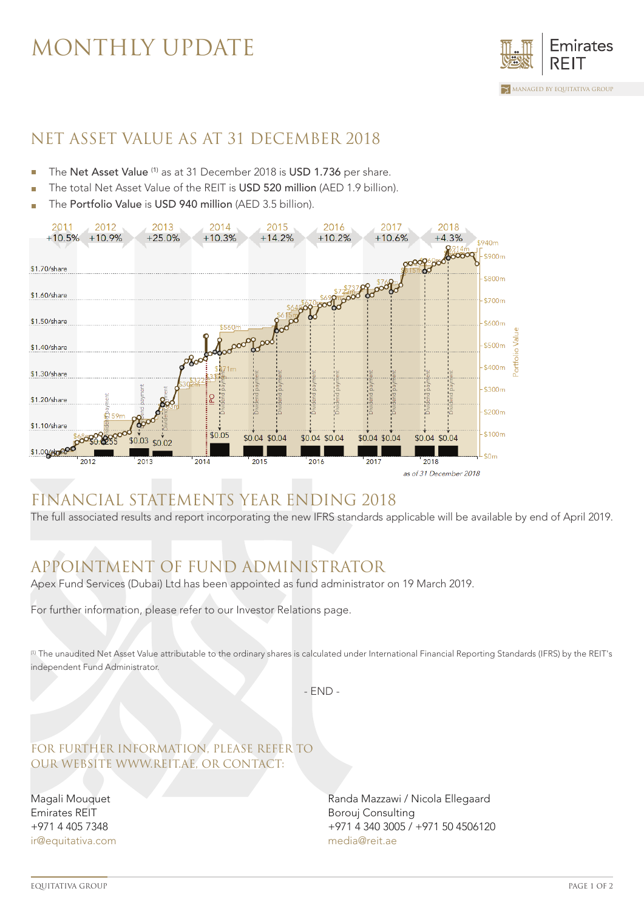## MONTHLY UPDATE



### NET ASSET VALUE AS AT 31 DECEMBER 2018

- The Net Asset Value (1) as at 31 December 2018 is USD 1.736 per share.
- The total Net Asset Value of the REIT is USD 520 million (AED 1.9 billion).
- The Portfolio Value is USD 940 million (AED 3.5 billion).



## FINANCIAL STATEMENTS YEAR ENDING 2018

The full associated results and report incorporating the new IFRS standards applicable will be available by end of April 2019.

## APPOINTMENT OF FUND ADMINISTRATOR

Apex Fund Services (Dubai) Ltd has been appointed as fund administrator on 19 March 2019.

For further information, please refer to our Investor Relations page.

(1) The unaudited Net Asset Value attributable to the ordinary shares is calculated under International Financial Reporting Standards (IFRS) by the REIT's independent Fund Administrator.

- END -

#### FOR FURTHER INFORMATION, PLEASE REFER TO OUR WEBSITE WWW.REIT.AE, OR CONTACT:

Magali Mouquet Emirates REIT +971 4 405 7348 ir@equitativa.com Randa Mazzawi / Nicola Ellegaard Borouj Consulting +971 4 340 3005 / +971 50 4506120 media@reit.ae